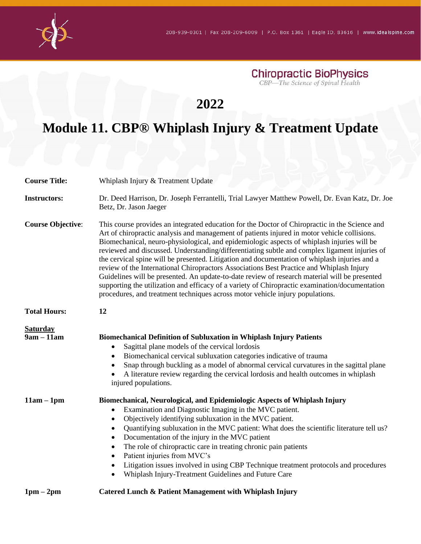

**Chiropractic BioPhysics**<br>CBP—The Science of Spinal Health

## **2022**

## **Module 11. CBP® Whiplash Injury & Treatment Update**

| <b>Course Title:</b>            | Whiplash Injury & Treatment Update                                                                                                                                                                                                                                                                                                                                                                                                                                                                                                                                                                                                                                                                                                                                                                                                                                             |
|---------------------------------|--------------------------------------------------------------------------------------------------------------------------------------------------------------------------------------------------------------------------------------------------------------------------------------------------------------------------------------------------------------------------------------------------------------------------------------------------------------------------------------------------------------------------------------------------------------------------------------------------------------------------------------------------------------------------------------------------------------------------------------------------------------------------------------------------------------------------------------------------------------------------------|
| <b>Instructors:</b>             | Dr. Deed Harrison, Dr. Joseph Ferrantelli, Trial Lawyer Matthew Powell, Dr. Evan Katz, Dr. Joe<br>Betz, Dr. Jason Jaeger                                                                                                                                                                                                                                                                                                                                                                                                                                                                                                                                                                                                                                                                                                                                                       |
| <b>Course Objective:</b>        | This course provides an integrated education for the Doctor of Chiropractic in the Science and<br>Art of chiropractic analysis and management of patients injured in motor vehicle collisions.<br>Biomechanical, neuro-physiological, and epidemiologic aspects of whiplash injuries will be<br>reviewed and discussed. Understanding/differentiating subtle and complex ligament injuries of<br>the cervical spine will be presented. Litigation and documentation of whiplash injuries and a<br>review of the International Chiropractors Associations Best Practice and Whiplash Injury<br>Guidelines will be presented. An update-to-date review of research material will be presented<br>supporting the utilization and efficacy of a variety of Chiropractic examination/documentation<br>procedures, and treatment techniques across motor vehicle injury populations. |
| <b>Total Hours:</b>             | 12                                                                                                                                                                                                                                                                                                                                                                                                                                                                                                                                                                                                                                                                                                                                                                                                                                                                             |
| <b>Saturday</b><br>$9am - 11am$ | <b>Biomechanical Definition of Subluxation in Whiplash Injury Patients</b><br>Sagittal plane models of the cervical lordosis<br>$\bullet$<br>Biomechanical cervical subluxation categories indicative of trauma<br>$\bullet$<br>Snap through buckling as a model of abnormal cervical curvatures in the sagittal plane<br>$\bullet$<br>A literature review regarding the cervical lordosis and health outcomes in whiplash<br>injured populations.                                                                                                                                                                                                                                                                                                                                                                                                                             |
| $11am - 1pm$                    | Biomechanical, Neurological, and Epidemiologic Aspects of Whiplash Injury<br>Examination and Diagnostic Imaging in the MVC patient.<br>$\bullet$<br>Objectively identifying subluxation in the MVC patient.<br>$\bullet$<br>Quantifying subluxation in the MVC patient: What does the scientific literature tell us?<br>$\bullet$<br>Documentation of the injury in the MVC patient<br>$\bullet$<br>The role of chiropractic care in treating chronic pain patients<br>$\bullet$<br>Patient injuries from MVC's<br>$\bullet$<br>Litigation issues involved in using CBP Technique treatment protocols and procedures<br>$\bullet$<br>Whiplash Injury-Treatment Guidelines and Future Care<br>$\bullet$                                                                                                                                                                         |
| $1pm-2pm$                       | Catered Lunch & Patient Management with Whiplash Injury                                                                                                                                                                                                                                                                                                                                                                                                                                                                                                                                                                                                                                                                                                                                                                                                                        |